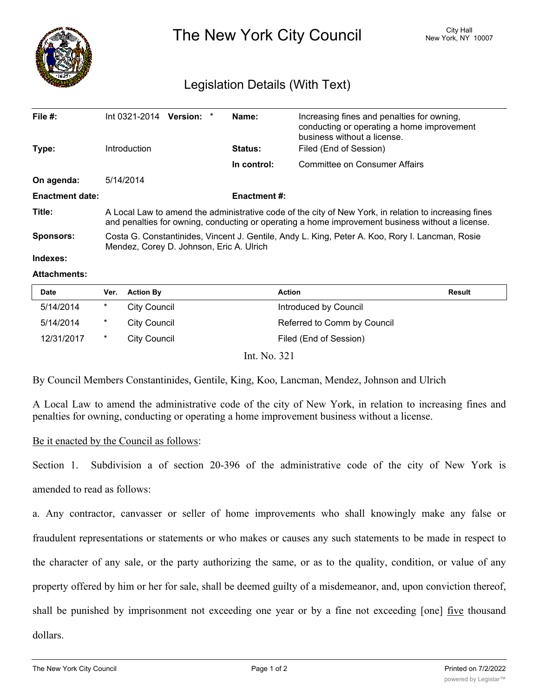

The New York City Council New York, NY 10007

## Legislation Details (With Text)

| File $#$ :<br>Type:    | Int 0321-2014<br><b>Introduction</b>                                                                                                                                                                      | Version: * |  | Name:<br><b>Status:</b> | Increasing fines and penalties for owning,<br>conducting or operating a home improvement<br>business without a license.<br>Filed (End of Session) |  |
|------------------------|-----------------------------------------------------------------------------------------------------------------------------------------------------------------------------------------------------------|------------|--|-------------------------|---------------------------------------------------------------------------------------------------------------------------------------------------|--|
|                        |                                                                                                                                                                                                           |            |  | In control:             | Committee on Consumer Affairs                                                                                                                     |  |
| On agenda:             | 5/14/2014                                                                                                                                                                                                 |            |  |                         |                                                                                                                                                   |  |
| <b>Enactment date:</b> | <b>Enactment #:</b>                                                                                                                                                                                       |            |  |                         |                                                                                                                                                   |  |
| Title:                 | A Local Law to amend the administrative code of the city of New York, in relation to increasing fines<br>and penalties for owning, conducting or operating a home improvement business without a license. |            |  |                         |                                                                                                                                                   |  |
| <b>Sponsors:</b>       | Costa G. Constantinides, Vincent J. Gentile, Andy L. King, Peter A. Koo, Rory I. Lancman, Rosie<br>Mendez, Corey D. Johnson, Eric A. Ulrich                                                               |            |  |                         |                                                                                                                                                   |  |
| Indexes:               |                                                                                                                                                                                                           |            |  |                         |                                                                                                                                                   |  |

## **Attachments:**

| <b>Date</b> | Ver.   | <b>Action By</b>    | <b>Action</b>               | <b>Result</b> |
|-------------|--------|---------------------|-----------------------------|---------------|
| 5/14/2014   | $\ast$ | <b>City Council</b> | Introduced by Council       |               |
| 5/14/2014   | $\ast$ | City Council        | Referred to Comm by Council |               |
| 12/31/2017  | $\ast$ | City Council        | Filed (End of Session)      |               |
|             |        |                     | Int. No. 321                |               |

By Council Members Constantinides, Gentile, King, Koo, Lancman, Mendez, Johnson and Ulrich

A Local Law to amend the administrative code of the city of New York, in relation to increasing fines and penalties for owning, conducting or operating a home improvement business without a license.

## Be it enacted by the Council as follows:

Section 1. Subdivision a of section 20-396 of the administrative code of the city of New York is amended to read as follows:

a. Any contractor, canvasser or seller of home improvements who shall knowingly make any false or fraudulent representations or statements or who makes or causes any such statements to be made in respect to the character of any sale, or the party authorizing the same, or as to the quality, condition, or value of any property offered by him or her for sale, shall be deemed guilty of a misdemeanor, and, upon conviction thereof, shall be punished by imprisonment not exceeding one year or by a fine not exceeding [one] <u>five</u> thousand dollars.